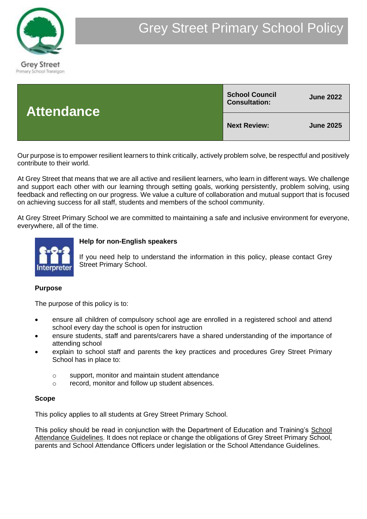

| <b>Attendance</b> | <b>School Council</b><br><b>Consultation:</b> | <b>June 2022</b> |
|-------------------|-----------------------------------------------|------------------|
|                   | <b>Next Review:</b>                           | <b>June 2025</b> |

Our purpose is to empower resilient learners to think critically, actively problem solve, be respectful and positively contribute to their world.

At Grey Street that means that we are all active and resilient learners, who learn in different ways. We challenge and support each other with our learning through setting goals, working persistently, problem solving, using feedback and reflecting on our progress. We value a culture of collaboration and mutual support that is focused on achieving success for all staff, students and members of the school community.

At Grey Street Primary School we are committed to maintaining a safe and inclusive environment for everyone, everywhere, all of the time.



# **Help for non-English speakers**

If you need help to understand the information in this policy, please contact Grey Street Primary School.

## **Purpose**

The purpose of this policy is to:

- ensure all children of compulsory school age are enrolled in a registered school and attend school every day the school is open for instruction
- ensure students, staff and parents/carers have a shared understanding of the importance of attending school
- explain to school staff and parents the key practices and procedures Grey Street Primary School has in place to:
	- o support, monitor and maintain student attendance
	- o record, monitor and follow up student absences.

## **Scope**

This policy applies to all students at Grey Street Primary School.

This policy should be read in conjunction with the Department of Education and Training's [School](http://www.education.vic.gov.au/school/teachers/studentmanagement/Pages/attendance.aspx)  [Attendance Guidelines.](http://www.education.vic.gov.au/school/teachers/studentmanagement/Pages/attendance.aspx) It does not replace or change the obligations of Grey Street Primary School, parents and School Attendance Officers under legislation or the School Attendance Guidelines.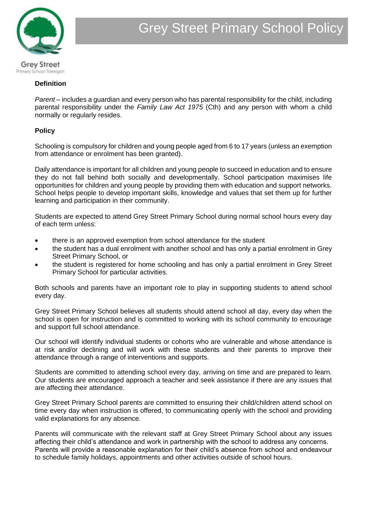

#### **Definition**

*Parent* – includes a guardian and every person who has parental responsibility for the child, including parental responsibility under the *Family Law Act 1975* (Cth) and any person with whom a child normally or regularly resides.

#### **Policy**

Schooling is compulsory for children and young people aged from 6 to 17 years (unless an exemption from attendance or enrolment has been granted).

Daily attendance is important for all children and young people to succeed in education and to ensure they do not fall behind both socially and developmentally. School participation maximises life opportunities for children and young people by providing them with education and support networks. School helps people to develop important skills, knowledge and values that set them up for further learning and participation in their community.

Students are expected to attend Grey Street Primary School during normal school hours every day of each term unless:

- there is an approved exemption from school attendance for the student
- the student has a dual enrolment with another school and has only a partial enrolment in Grey Street Primary School, or
- the student is registered for home schooling and has only a partial enrolment in Grey Street Primary School for particular activities.

Both schools and parents have an important role to play in supporting students to attend school every day.

Grey Street Primary School believes all students should attend school all day, every day when the school is open for instruction and is committed to working with its school community to encourage and support full school attendance.

Our school will identify individual students or cohorts who are vulnerable and whose attendance is at risk and/or declining and will work with these students and their parents to improve their attendance through a range of interventions and supports.

Students are committed to attending school every day, arriving on time and are prepared to learn. Our students are encouraged approach a teacher and seek assistance if there are any issues that are affecting their attendance.

Grey Street Primary School parents are committed to ensuring their child/children attend school on time every day when instruction is offered, to communicating openly with the school and providing valid explanations for any absence.

Parents will communicate with the relevant staff at Grey Street Primary School about any issues affecting their child's attendance and work in partnership with the school to address any concerns. Parents will provide a reasonable explanation for their child's absence from school and endeavour to schedule family holidays, appointments and other activities outside of school hours.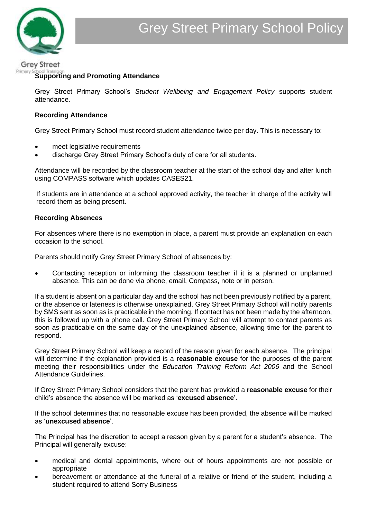#### **Grey Street** Primary

## **Supporting and Promoting Attendance**

Grey Street Primary School's *Student Wellbeing and Engagement Policy* supports student attendance.

# **Recording Attendance**

Grey Street Primary School must record student attendance twice per day. This is necessary to:

- meet legislative requirements
- discharge Grey Street Primary School's duty of care for all students.

Attendance will be recorded by the classroom teacher at the start of the school day and after lunch using COMPASS software which updates CASES21.

If students are in attendance at a school approved activity, the teacher in charge of the activity will record them as being present.

## **Recording Absences**

For absences where there is no exemption in place, a parent must provide an explanation on each occasion to the school.

Parents should notify Grey Street Primary School of absences by:

• Contacting reception or informing the classroom teacher if it is a planned or unplanned absence. This can be done via phone, email, Compass, note or in person.

If a student is absent on a particular day and the school has not been previously notified by a parent, or the absence or lateness is otherwise unexplained, Grey Street Primary School will notify parents by SMS sent as soon as is practicable in the morning. If contact has not been made by the afternoon, this is followed up with a phone call. Grey Street Primary School will attempt to contact parents as soon as practicable on the same day of the unexplained absence, allowing time for the parent to respond.

Grey Street Primary School will keep a record of the reason given for each absence. The principal will determine if the explanation provided is a **reasonable excuse** for the purposes of the parent meeting their responsibilities under the *Education Training Reform Act 2006* and the School Attendance Guidelines.

If Grey Street Primary School considers that the parent has provided a **reasonable excuse** for their child's absence the absence will be marked as '**excused absence**'.

If the school determines that no reasonable excuse has been provided, the absence will be marked as '**unexcused absence**'.

The Principal has the discretion to accept a reason given by a parent for a student's absence. The Principal will generally excuse:

- medical and dental appointments, where out of hours appointments are not possible or appropriate
- bereavement or attendance at the funeral of a relative or friend of the student, including a student required to attend Sorry Business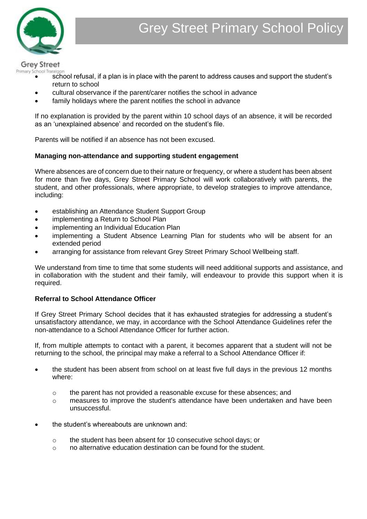

**Grey Street** 

- Primary School Traralgon<br>• school refusal, if a plan is in place with the parent to address causes and support the student's return to school
	- cultural observance if the parent/carer notifies the school in advance
	- family holidays where the parent notifies the school in advance

If no explanation is provided by the parent within 10 school days of an absence, it will be recorded as an 'unexplained absence' and recorded on the student's file.

Parents will be notified if an absence has not been excused.

# **Managing non-attendance and supporting student engagement**

Where absences are of concern due to their nature or frequency, or where a student has been absent for more than five days, Grey Street Primary School will work collaboratively with parents, the student, and other professionals, where appropriate, to develop strategies to improve attendance, including:

- establishing an Attendance Student Support Group
- implementing a Return to School Plan
- implementing an Individual Education Plan
- implementing a Student Absence Learning Plan for students who will be absent for an extended period
- arranging for assistance from relevant Grey Street Primary School Wellbeing staff.

We understand from time to time that some students will need additional supports and assistance, and in collaboration with the student and their family, will endeavour to provide this support when it is required.

## **Referral to School Attendance Officer**

If Grey Street Primary School decides that it has exhausted strategies for addressing a student's unsatisfactory attendance, we may, in accordance with the School Attendance Guidelines refer the non-attendance to a School Attendance Officer for further action.

If, from multiple attempts to contact with a parent, it becomes apparent that a student will not be returning to the school, the principal may make a referral to a School Attendance Officer if:

- the student has been absent from school on at least five full days in the previous 12 months where:
	- $\circ$  the parent has not provided a reasonable excuse for these absences; and
	- o measures to improve the student's attendance have been undertaken and have been unsuccessful.
- the student's whereabouts are unknown and:
	- o the student has been absent for 10 consecutive school days; or
	- o no alternative education destination can be found for the student.